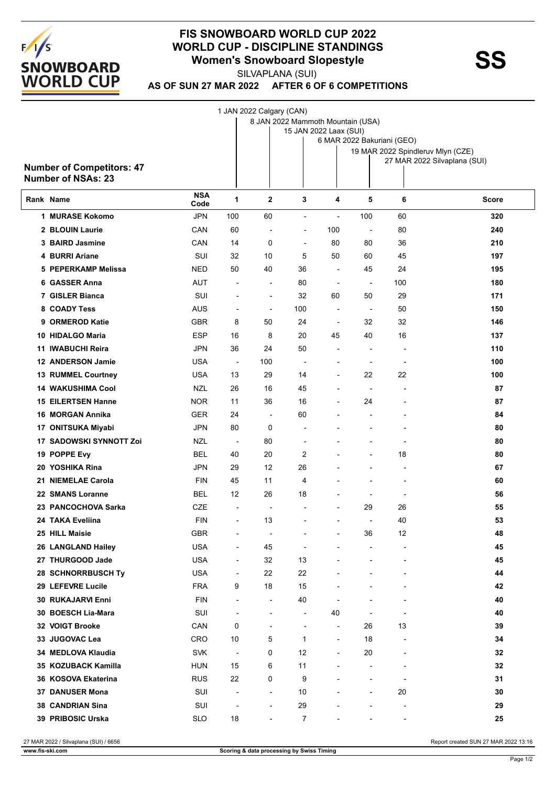

## **FIS SNOWBOARD WORLD CUP 2022 WORLD CUP - DISCIPLINE STANDINGS<br>
Women's Snowboard Slopestyle<br>
SUVARLANA (SUI)**

SILVAPLANA (SUI)

**AS OF SUN 27 MAR 2022 AFTER 6 OF 6 COMPETITIONS**

1 JAN 2022 Calgary (CAN)

|           |                                                               | ---- J --- J --- -- - /<br>8 JAN 2022 Mammoth Mountain (USA)<br>15 JAN 2022 Laax (SUI)<br>6 MAR 2022 Bakuriani (GEO) |                          |                          |                          |                          |                              |                                   |                              |  |  |
|-----------|---------------------------------------------------------------|----------------------------------------------------------------------------------------------------------------------|--------------------------|--------------------------|--------------------------|--------------------------|------------------------------|-----------------------------------|------------------------------|--|--|
|           | <b>Number of Competitors: 47</b><br><b>Number of NSAs: 23</b> |                                                                                                                      |                          |                          |                          |                          |                              | 19 MAR 2022 Spindleruv Mlyn (CZE) | 27 MAR 2022 Silvaplana (SUI) |  |  |
| Rank Name |                                                               | <b>NSA</b><br>Code                                                                                                   | 1                        | $\mathbf{2}$             | 3                        | 4                        | 5                            | 6                                 | <b>Score</b>                 |  |  |
|           | 1 MURASE Kokomo                                               | JPN                                                                                                                  | 100                      | 60                       | $\overline{\phantom{a}}$ | $\blacksquare$           | 100                          | 60                                | 320                          |  |  |
|           | 2 BLOUIN Laurie                                               | CAN                                                                                                                  | 60                       | $\overline{\phantom{a}}$ | $\overline{\phantom{a}}$ | 100                      | $\overline{\phantom{a}}$     | 80                                | 240                          |  |  |
|           | 3 BAIRD Jasmine                                               | CAN                                                                                                                  | 14                       | 0                        | $\overline{\phantom{a}}$ | 80                       | 80                           | 36                                | 210                          |  |  |
|           | 4 BURRI Ariane                                                | SUI                                                                                                                  | 32                       | 10                       | 5                        | 50                       | 60                           | 45                                | 197                          |  |  |
|           | 5 PEPERKAMP Melissa                                           | NED                                                                                                                  | 50                       | 40                       | 36                       | $\overline{\phantom{a}}$ | 45                           | 24                                | 195                          |  |  |
|           | 6 GASSER Anna                                                 | <b>AUT</b>                                                                                                           | $\overline{a}$           | $\overline{\phantom{a}}$ | 80                       | $\blacksquare$           | $\overline{\phantom{a}}$     | 100                               | 180                          |  |  |
|           | 7 GISLER Bianca                                               | SUI                                                                                                                  | $\overline{\phantom{a}}$ | $\overline{\phantom{a}}$ | 32                       | 60                       | 50                           | 29                                | 171                          |  |  |
|           | 8 COADY Tess                                                  | AUS                                                                                                                  | $\overline{a}$           | $\overline{\phantom{a}}$ | 100                      | $\blacksquare$           | $\overline{\phantom{a}}$     | 50                                | 150                          |  |  |
|           | 9 ORMEROD Katie                                               | <b>GBR</b>                                                                                                           | 8                        | 50                       | 24                       | $\blacksquare$           | 32                           | 32                                | 146                          |  |  |
|           | 10 HIDALGO Maria                                              | <b>ESP</b>                                                                                                           | 16                       | 8                        | 20                       | 45                       | 40                           | 16                                | 137                          |  |  |
|           | 11 IWABUCHI Reira                                             | JPN                                                                                                                  | 36                       | 24                       | 50                       | $\blacksquare$           | $\blacksquare$               | $\overline{\phantom{a}}$          | 110                          |  |  |
|           | 12 ANDERSON Jamie                                             | <b>USA</b>                                                                                                           | $\overline{\phantom{a}}$ | 100                      | ÷                        | $\overline{\phantom{a}}$ | $\overline{\phantom{a}}$     | $\overline{\phantom{a}}$          | 100                          |  |  |
|           | 13 RUMMEL Courtney                                            | <b>USA</b>                                                                                                           | 13                       | 29                       | 14                       | $\overline{a}$           | 22                           | 22                                | 100                          |  |  |
|           | <b>14 WAKUSHIMA Cool</b>                                      | NZL                                                                                                                  | 26                       | 16                       | 45                       |                          | $\overline{\phantom{a}}$     | $\blacksquare$                    | 87                           |  |  |
|           | <b>15 EILERTSEN Hanne</b>                                     | <b>NOR</b>                                                                                                           | 11                       | 36                       | 16                       | $\overline{a}$           | 24                           |                                   | 87                           |  |  |
|           | 16 MORGAN Annika                                              | <b>GER</b>                                                                                                           | 24                       | $\overline{\phantom{a}}$ | 60                       |                          | $\overline{a}$               |                                   | 84                           |  |  |
|           | 17 ONITSUKA Miyabi                                            | JPN                                                                                                                  | 80                       | 0                        | ۰                        |                          |                              |                                   | 80                           |  |  |
|           | 17 SADOWSKI SYNNOTT Zoi                                       | NZL                                                                                                                  | $\overline{\phantom{a}}$ | 80                       | $\overline{a}$           |                          | $\qquad \qquad \blacksquare$ | $\overline{\phantom{a}}$          | 80                           |  |  |
|           | 19 POPPE Evy                                                  | BEL                                                                                                                  | 40                       | 20                       | 2                        |                          | $\overline{\phantom{a}}$     | 18                                | 80                           |  |  |
|           | 20 YOSHIKA Rina                                               | JPN                                                                                                                  | 29                       | 12                       | 26                       |                          | $\overline{a}$               | $\overline{\phantom{a}}$          | 67                           |  |  |
|           | 21 NIEMELAE Carola                                            | <b>FIN</b>                                                                                                           | 45                       | 11                       | 4                        |                          | $\overline{a}$               | $\overline{\phantom{a}}$          | 60                           |  |  |
|           | 22 SMANS Loranne                                              | BEL                                                                                                                  | 12                       | 26                       | 18                       | $\overline{\phantom{a}}$ | $\blacksquare$               | $\overline{\phantom{a}}$          | 56                           |  |  |
|           | 23 PANCOCHOVA Sarka                                           | CZE                                                                                                                  |                          | $\overline{\phantom{a}}$ |                          |                          | 29                           | 26                                | 55                           |  |  |
|           | 24 TAKA Eveliina                                              | <b>FIN</b>                                                                                                           | $\overline{\phantom{a}}$ | 13                       |                          |                          | $\overline{\phantom{a}}$     | 40                                | 53                           |  |  |
|           | 25 HILL Maisie                                                | <b>GBR</b>                                                                                                           | -                        |                          |                          |                          | 36                           | 12                                | 48                           |  |  |
|           | 26 LANGLAND Hailey                                            | <b>USA</b>                                                                                                           | $\overline{\phantom{a}}$ | 45                       | ÷                        |                          |                              |                                   | 45                           |  |  |
|           | 27 THURGOOD Jade                                              | <b>USA</b>                                                                                                           | $\overline{\phantom{a}}$ | 32                       | 13                       |                          | $\overline{a}$               | $\overline{\phantom{0}}$          | 45                           |  |  |
|           | 28 SCHNORRBUSCH Ty                                            | <b>USA</b>                                                                                                           | $\overline{\phantom{a}}$ | 22                       | 22                       |                          |                              |                                   | 44                           |  |  |
|           | 29 LEFEVRE Lucile                                             | <b>FRA</b>                                                                                                           | 9                        | 18                       | 15                       |                          |                              |                                   | 42                           |  |  |
|           | 30 RUKAJARVI Enni                                             | <b>FIN</b>                                                                                                           | $\overline{\phantom{a}}$ | $\overline{\phantom{a}}$ | 40                       |                          |                              |                                   | 40                           |  |  |
|           | 30 BOESCH Lia-Mara                                            | SUI                                                                                                                  | ÷,                       | $\overline{\phantom{a}}$ | ÷,                       | 40                       |                              | $\qquad \qquad \blacksquare$      | 40                           |  |  |
|           | 32 VOIGT Brooke                                               | CAN                                                                                                                  | 0                        | $\overline{\phantom{0}}$ | $\overline{\phantom{a}}$ | $\overline{\phantom{a}}$ | 26                           | 13                                | 39                           |  |  |
|           | 33 JUGOVAC Lea                                                | <b>CRO</b>                                                                                                           | 10                       | 5                        | 1                        | $\overline{\phantom{a}}$ | 18                           | $\overline{\phantom{a}}$          | 34                           |  |  |
|           | 34 MEDLOVA Klaudia                                            | <b>SVK</b>                                                                                                           | $\overline{\phantom{a}}$ | 0                        | 12                       | $\overline{a}$           | 20                           |                                   | 32                           |  |  |
|           | 35 KOZUBACK Kamilla                                           | <b>HUN</b>                                                                                                           | 15                       | 6                        | 11                       | $\overline{a}$           | $\overline{\phantom{a}}$     | L,                                | 32                           |  |  |
|           | 36 KOSOVA Ekaterina                                           | <b>RUS</b>                                                                                                           | 22                       | 0                        | 9                        |                          | $\overline{a}$               | L,                                | 31                           |  |  |
|           | 37 DANUSER Mona                                               | SUI                                                                                                                  | $\overline{a}$           | $\overline{\phantom{a}}$ | 10                       |                          | $\overline{\phantom{a}}$     | 20                                | 30                           |  |  |
|           | 38 CANDRIAN Sina                                              | SUI                                                                                                                  | $\overline{a}$           | $\overline{\phantom{a}}$ | 29                       |                          | $\overline{\phantom{0}}$     | $\overline{a}$                    | 29                           |  |  |
|           |                                                               |                                                                                                                      | $18$                     |                          | 7                        |                          |                              |                                   | 25                           |  |  |
|           | 39 PRIBOSIC Urska                                             | <b>SLO</b>                                                                                                           |                          |                          |                          |                          |                              |                                   |                              |  |  |

27 MAR 2022 / Silvaplana (SUI) / 6656 Report created SUN 27 MAR 2022 13:16